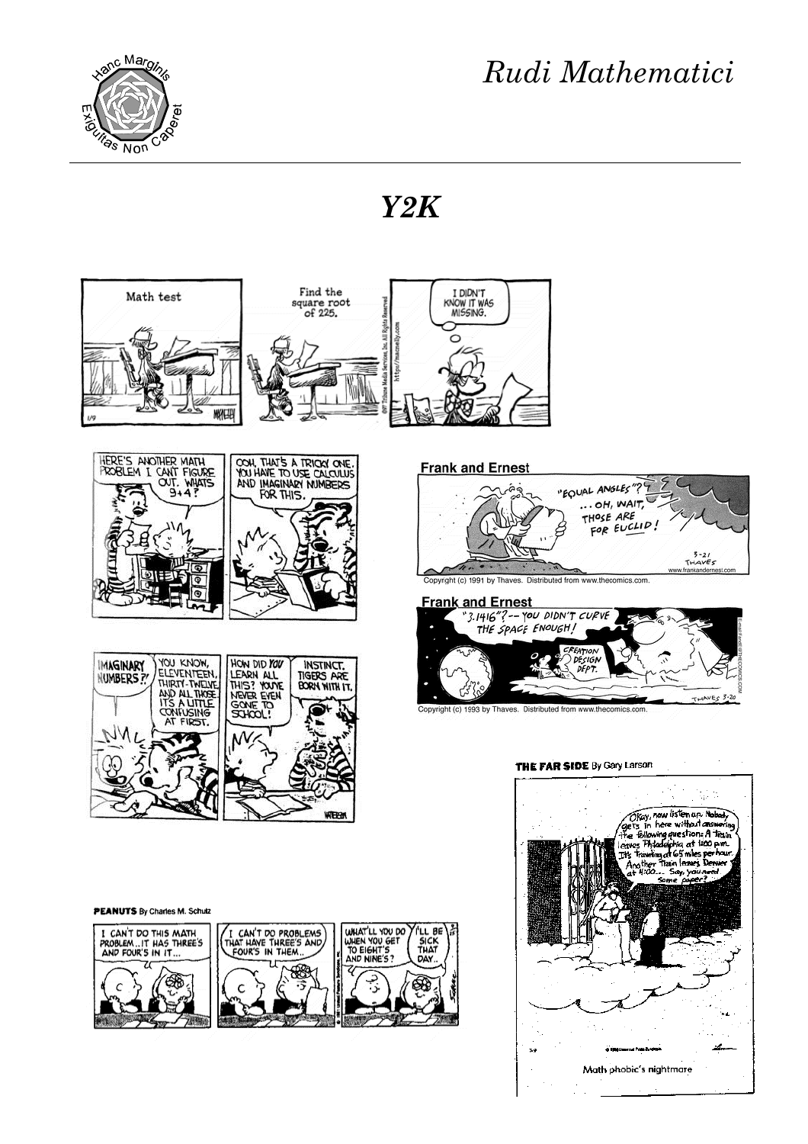

Math phobic's nightmare

*Y2K*



C8

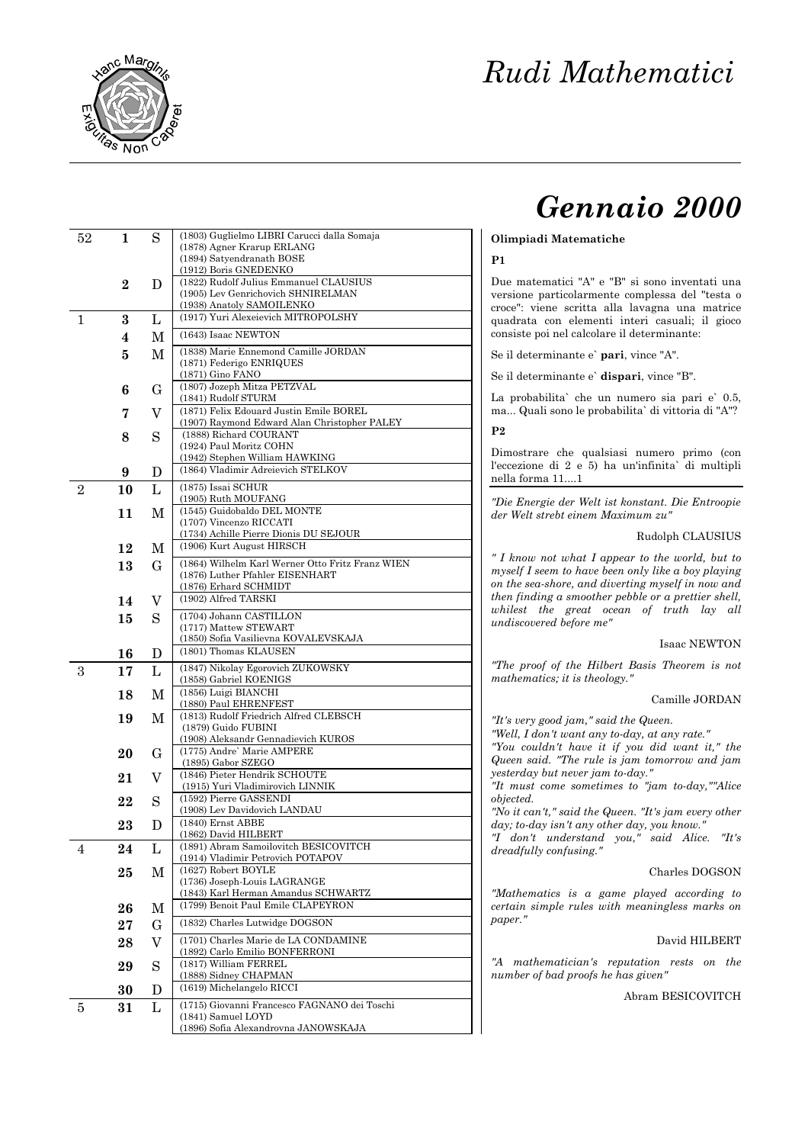

# *Gennaio 2000*

# **Olimpiadi Matematiche**

# **P1**

Due matematici "A" e "B" si sono inventati una versione particolarmente complessa del "testa o croce": viene scritta alla lavagna una matrice quadrata con elementi interi casuali; il gioco consiste poi nel calcolare il determinante:

Se il determinante e` **pari**, vince "A".

Se il determinante e` **dispari**, vince "B".

La probabilita` che un numero sia pari e` 0.5, ma... Quali sono le probabilita` di vittoria di "A"?

**P2**

Dimostrare che qualsiasi numero primo (con l'eccezione di 2 e 5) ha un'infinita` di multipli nella forma 11....1

*"Die Energie der Welt ist konstant. Die Entroopie der Welt strebt einem Maximum zu"*

### Rudolph CLAUSIUS

*" I know not what I appear to the world, but to myself I seem to have been only like a boy playing on the sea -shore, and diverting myself in now and then finding a smoother pebble or a prettier shell, whilest the great ocean of truth lay all undiscovered before me"*

#### Isaac NEWTON

*"The proof of the Hilbert Basis Theorem is not mathematics; it is theology."*

#### Camille JORDAN

*"It's very good jam," said the Queen.*

*"Well, I don't want any to -day, at any rate."*

*"You couldn't have it if you did want it," the Queen said. "The rule is jam tomorrow and jam yesterday but never jam to -day."*

*"It must come sometimes to "jam to -day,""Alice objected.*

*"No it can't," said the Queen. "It's jam every other day; to -day isn't any other day, you know."*

*"I don't understand you," said Alice. "It's dreadfully confusing."*

#### Charles DOGSON

*"Mathematics is a game played according to certain simple rules with meaningless marks on paper."*

#### David HILBERT

*"A mathematician's reputation rests on the number of bad proofs he has given"*

# Abram BESICOVITCH

| 52             | 1        | S           | (1803) Guglielmo LIBRI Carucci dalla Somaja                               |
|----------------|----------|-------------|---------------------------------------------------------------------------|
|                |          |             | (1878) Agner Krarup ERLANG                                                |
|                |          |             | (1894) Satyendranath BOSE<br>(1912) Boris GNEDENKO                        |
|                | $\bf{2}$ | D           | (1822) Rudolf Julius Emmanuel CLAUSIUS                                    |
|                |          |             | (1905) Lev Genrichovich SHNIRELMAN                                        |
|                |          |             | (1938) Anatoly SAMOILENKO                                                 |
| 1              | 3        | L           | (1917) Yuri Alexeievich MITROPOLSHY                                       |
|                | 4        | М           | (1643) Isaac NEWTON                                                       |
|                | 5        | М           | (1838) Marie Ennemond Camille JORDAN                                      |
|                |          |             | (1871) Federigo ENRIQUES                                                  |
|                |          |             | (1871) Gino FANO                                                          |
|                | 6        | $\mathbf G$ | (1807) Jozeph Mitza PETZVAL<br>(1841) Rudolf STURM                        |
|                |          | V           | (1871) Felix Edouard Justin Emile BOREL                                   |
|                | 7        |             | (1907) Raymond Edward Alan Christopher PALEY                              |
|                | 8        | S           | (1888) Richard COURANT                                                    |
|                |          |             | (1924) Paul Moritz COHN                                                   |
|                |          |             | (1942) Stephen William HAWKING<br>(1864) Vladimir Adreievich STELKOV      |
|                | 9        | D           |                                                                           |
| $\overline{2}$ | 10       | L           | (1875) Issai SCHUR<br>(1905) Ruth MOUFANG                                 |
|                | 11       | М           | (1545) Guidobaldo DEL MONTE                                               |
|                |          |             | (1707) Vincenzo RICCATI                                                   |
|                |          |             | (1734) Achille Pierre Dionis DU SEJOUR                                    |
|                | 12       | М           | (1906) Kurt August HIRSCH                                                 |
|                | 13       | G           | (1864) Wilhelm Karl Werner Otto Fritz Franz WIEN                          |
|                |          |             | (1876) Luther Pfahler EISENHART                                           |
|                |          |             | (1876) Erhard SCHMIDT<br>(1902) Alfred TARSKI                             |
|                | 14       | V           |                                                                           |
|                | 15       | S           | (1704) Johann CASTILLON<br>(1717) Mattew STEWART                          |
|                |          |             | (1850) Sofia Vasilievna KOVALEVSKAJA                                      |
|                | 16       | D           | (1801) Thomas KLAUSEN                                                     |
| 3              | 17       | L           | (1847) Nikolay Egorovich ZUKOWSKY                                         |
|                |          |             | (1858) Gabriel KOENIGS                                                    |
|                | 18       | М           | (1856) Luigi BIANCHI                                                      |
|                |          |             | (1880) Paul EHRENFEST<br>(1813) Rudolf Friedrich Alfred CLEBSCH           |
|                | 19       | М           | (1879) Guido FUBINI                                                       |
|                |          |             | (1908) Aleksandr Gennadievich KUROS                                       |
|                | 20       | G           | (1775) Andre' Marie AMPERE                                                |
|                |          |             | (1895) Gabor SZEGO<br>(1846) Pieter Hendrik SCHOUTE                       |
|                | 21       | V           | (1915) Yuri Vladimirovich LINNIK                                          |
|                | 22       | S           | (1592) Pierre GASSENDI                                                    |
|                |          |             | (1908) Lev Davidovich LANDAU                                              |
|                | 23       | D           | (1840) Ernst ABBE                                                         |
|                |          |             | (1862) David HILBERT<br>(1891) Abram Samoilovitch BESICOVITCH             |
| 4              | 24       | L           | (1914) Vladimir Petrovich POTAPOV                                         |
|                | 25       | М           | (1627) Robert BOYLE                                                       |
|                |          |             | (1736) Joseph-Louis LAGRANGE                                              |
|                |          |             | (1843) Karl Herman Amandus SCHWARTZ<br>(1799) Benoit Paul Emile CLAPEYRON |
|                | 26       | М           |                                                                           |
|                | 27       | $\mathbf G$ | (1832) Charles Lutwidge DOGSON                                            |
|                | 28       | V           | (1701) Charles Marie de LA CONDAMINE                                      |
|                |          |             | (1892) Carlo Emilio BONFERRONI                                            |
|                | 29       | S           | (1817) William FERREL<br>(1888) Sidney CHAPMAN                            |
|                | 30       | D.          | (1619) Michelangelo RICCI                                                 |
|                |          |             | (1715) Giovanni Francesco FAGNANO dei Toschi                              |
| 5              | 31       | L           | (1841) Samuel LOYD                                                        |
|                |          |             | (1896) Sofia Alexandrovna JANOWSKAJA                                      |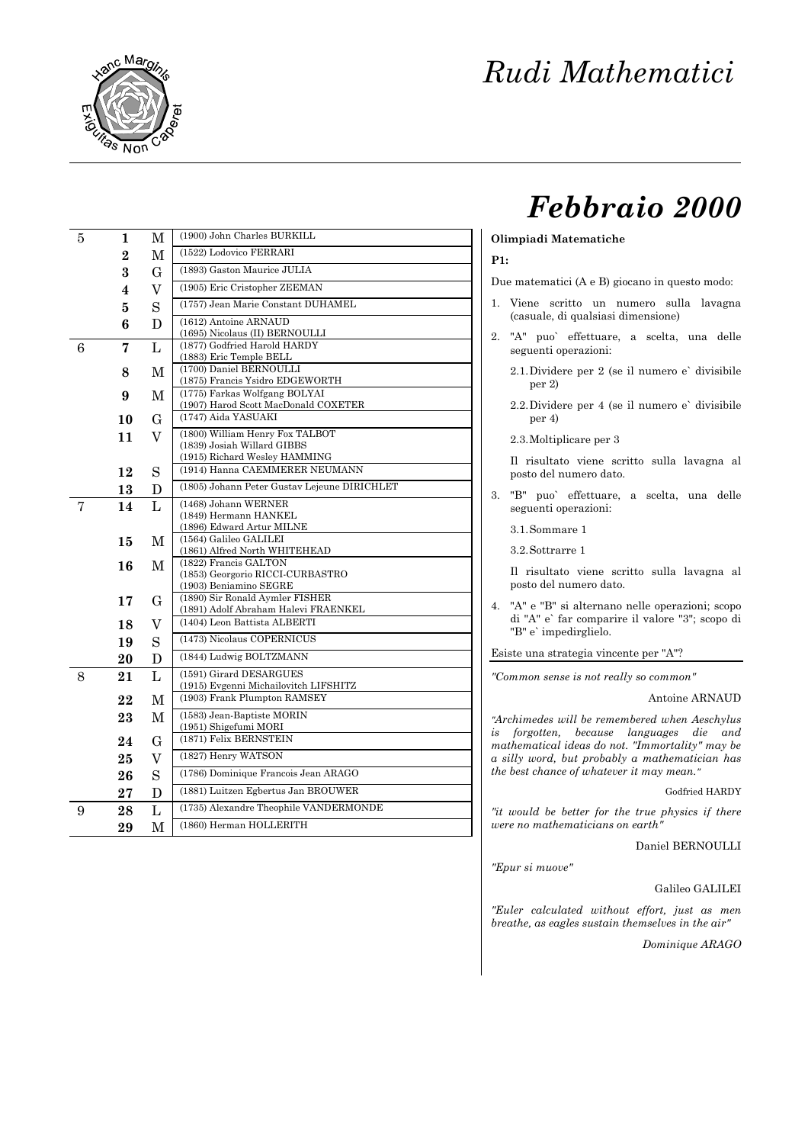

# *Febbraio 2000*

#### **Olimpiadi Matematiche**

# **P1:**

Due matematici (A e B) giocano in questo modo:

- 1. Viene scritto un numero sulla lavagna (casuale, di qualsiasi dimensione)
- 2. "A" puo` effettuare, a scelta, una delle seguenti operazioni:
	- 2.1.Dividere per 2 (se il numero e` divisibile per 2)
	- 2.2.Dividere per 4 (se il numero e` divisibile per 4)

2.3.Moltiplicare per 3

Il risultato viene scritto sulla lavagna al posto del numero dato.

3. "B" puo` effettuare, a scelta, una delle seguenti operazioni:

3.1.Sommare 1

3.2.Sottrarre 1

Il risultato viene scritto sulla lavagna al posto del numero dato.

4. "A" e "B" si alternano nelle operazioni; scopo di "A" e` far comparire il valore "3"; scopo di "B" e` impedirglielo.

Esiste una strategia vincente per "A"?

*"Common sense is not really so common"*

# Antoine ARNAUD

*"Archimedes will be remembered when Aeschylus is forgotten, because languages die and mathematical ideas do not. "Immortality" may be a silly word, but probably a mathematician has the best chance of whatever it may mean."*

Godfried HARDY

*"it would be better for the true physics if there were no mathematicians on earth"*

Daniel BERNOULLI

*"Epur si muove"*

Galileo GALILEI

*"Euler calculated without effort, just as men breathe, as eagles sustain themselves in the air"*

*Dominique ARAGO*

| 5 | 1              | М       | (1900) John Charles BURKILL                                           |
|---|----------------|---------|-----------------------------------------------------------------------|
|   | $\overline{2}$ | М       | (1522) Lodovico FERRARI                                               |
|   | 3              | G       | (1893) Gaston Maurice JULIA                                           |
|   | 4              | $\rm V$ | (1905) Eric Cristopher ZEEMAN                                         |
|   | 5              | S       | (1757) Jean Marie Constant DUHAMEL                                    |
|   | 6              | D       | (1612) Antoine ARNAUD                                                 |
|   |                |         | (1695) Nicolaus (II) BERNOULLI                                        |
| 6 | 7              | L       | (1877) Godfried Harold HARDY                                          |
|   |                | M       | (1883) Eric Temple BELL<br>(1700) Daniel BERNOULLI                    |
|   | 8              |         | (1875) Francis Ysidro EDGEWORTH                                       |
|   | 9              | M       | (1775) Farkas Wolfgang BOLYAI                                         |
|   |                |         | (1907) Harod Scott MacDonald COXETER<br>(1747) Aida YASUAKI           |
|   | 10             | G       |                                                                       |
|   | 11             | V       | (1800) William Henry Fox TALBOT<br>(1839) Josiah Willard GIBBS        |
|   |                |         | (1915) Richard Wesley HAMMING                                         |
|   | 12             | S       | (1914) Hanna CAEMMERER NEUMANN                                        |
|   | 13             | D       | (1805) Johann Peter Gustav Lejeune DIRICHLET                          |
| 7 | 14             | L       | (1468) Johann WERNER                                                  |
|   |                |         | (1849) Hermann HANKEL                                                 |
|   |                |         | (1896) Edward Artur MILNE<br>(1564) Galileo GALILEI                   |
|   | 15             | М       | (1861) Alfred North WHITEHEAD                                         |
|   | 16             | M       | (1822) Francis GALTON                                                 |
|   |                |         | (1853) Georgorio RICCI-CURBASTRO<br>(1903) Beniamino SEGRE            |
|   | 17             | G       | (1890) Sir Ronald Aymler FISHER                                       |
|   |                |         | (1891) Adolf Abraham Halevi FRAENKEL                                  |
|   | 18             | V       | (1404) Leon Battista ALBERTI                                          |
|   | 19             | S       | (1473) Nicolaus COPERNICUS                                            |
|   | 20             | D       | (1844) Ludwig BOLTZMANN                                               |
| 8 | 21             | L       | (1591) Girard DESARGUES                                               |
|   | 22             | M       | (1915) Evgenni Michailovitch LIFSHITZ<br>(1903) Frank Plumpton RAMSEY |
|   |                |         | (1583) Jean-Baptiste MORIN                                            |
|   | 23             | M       | (1951) Shigefumi MORI                                                 |
|   | 24             | G       | (1871) Felix BERNSTEIN                                                |
|   | 25             | $\rm V$ | (1827) Henry WATSON                                                   |
|   | 26             | S       | (1786) Dominique Francois Jean ARAGO                                  |
|   | $27\,$         | D       | (1881) Luitzen Egbertus Jan BROUWER                                   |
| 9 | 28             | L       | (1735) Alexandre Theophile VANDERMONDE                                |
|   | 29             | M       | (1860) Herman HOLLERITH                                               |
|   |                |         |                                                                       |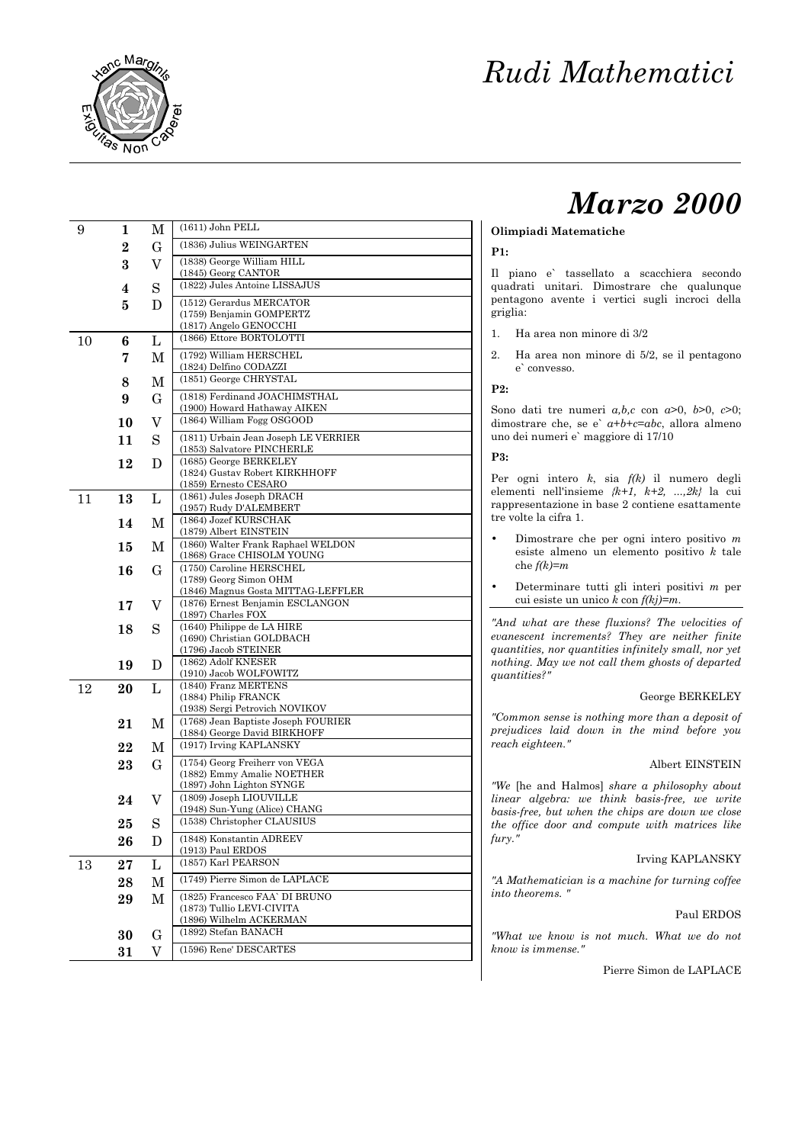

# *Marzo 2000*

# **Olimpiadi Matematiche**

#### **P1:**

Il piano e` tassellato a scacchiera secondo quadrati unitari. Dimostrare che qualunque pentagono avente i vertici sugli incroci della griglia:

- 1. Ha area non minore di 3/2
- 2. Ha area non minore di 5/2, se il pentagono e` convesso.

#### **P2:**

Sono dati tre numeri  $a, b, c$  con  $a > 0$ ,  $b > 0$ ,  $c > 0$ ; dimostrare che, se e`  $a+b+c=abc$ , allora almeno uno dei numeri e` maggiore di 17/10

# **P3:**

Per ogni intero *k*, sia *f(k)* il numero degli elementi nell'insieme *{k+1, k+2, ...,2k}* la cui rappresentazione in base 2 contiene esattamente tre volte la cifra 1.

- Dimostrare che per ogni intero positivo *m* esiste almeno un elemento positivo *k* tale che *f(k)=m*
- Determinare tutti gli interi positivi *m* per cui esiste un unico *k* con *f(kj)=m* .

*"And what are these fluxions? The velocities of evanescent increments? They are neither finite quantities, nor quantities infinitely small, nor yet nothing. May we not call them ghosts of departed quantities?"*

# George BERKELEY

*"Common sense is nothing more than a deposit of prejudices laid down in the mind before you reach eighteen."*

#### Albert EINSTEIN

*"We* [he and Halmos] *share a philosophy about linear algebra: we think basis -free, we write basis -free, but when the chips are down we close the office door and compute with matrices like fury."*

### Irving KAPLANSKY

*"A Mathematician is a machine for turning coffee into theorems. "*

#### Paul ERDOS

*"What we know is not much. What we do not know is immense."*

Pierre Simon de LAPLACE

| 9  | 1              | $\mathbf M$ | $(1611)$ John PELL                                                     |
|----|----------------|-------------|------------------------------------------------------------------------|
|    | $\overline{2}$ | G           | (1836) Julius WEINGARTEN                                               |
|    | 3              | V           | (1838) George William HILL                                             |
|    |                |             | (1845) Georg CANTOR                                                    |
|    | 4              | S           | (1822) Jules Antoine LISSAJUS                                          |
|    | 5              | D           | (1512) Gerardus MERCATOR<br>(1759) Benjamin GOMPERTZ                   |
|    |                |             | (1817) Angelo GENOCCHI                                                 |
| 10 | 6              | L           | (1866) Ettore BORTOLOTTI                                               |
|    | 7              | М           | (1792) William HERSCHEL                                                |
|    |                |             | (1824) Delfino CODAZZI                                                 |
|    | 8              | М           | (1851) George CHRYSTAL                                                 |
|    | 9              | G           | (1818) Ferdinand JOACHIMSTHAL<br>(1900) Howard Hathaway AIKEN          |
|    | 10             | V           | (1864) William Fogg OSGOOD                                             |
|    | 11             | S           | (1811) Urbain Jean Joseph LE VERRIER                                   |
|    |                |             | (1853) Salvatore PINCHERLE                                             |
|    | 12             | D           | (1685) George BERKELEY<br>(1824) Gustav Robert KIRKHHOFF               |
|    |                |             | (1859) Ernesto CESARO                                                  |
| 11 | 13             | L           | (1861) Jules Joseph DRACH                                              |
|    |                |             | (1957) Rudy D'ALEMBERT<br>(1864) Jozef KURSCHAK                        |
|    | 14             | М           | (1879) Albert EINSTEIN                                                 |
|    | 15             | М           | (1860) Walter Frank Raphael WELDON                                     |
|    | 16             | G           | (1868) Grace CHISOLM YOUNG<br>(1750) Caroline HERSCHEL                 |
|    |                |             | (1789) Georg Simon OHM                                                 |
|    |                |             | (1846) Magnus Gosta MITTAG-LEFFLER<br>(1876) Ernest Benjamin ESCLANGON |
|    | 17             | V           | (1897) Charles FOX                                                     |
|    | 18             | S           | (1640) Philippe de LA HIRE                                             |
|    |                |             | (1690) Christian GOLDBACH<br>(1796) Jacob STEINER                      |
|    | 19             | D           | (1862) Adolf KNESER                                                    |
|    |                |             | (1910) Jacob WOLFOWITZ                                                 |
| 12 | 20             | L           | (1840) Franz MERTENS<br>(1884) Philip FRANCK                           |
|    |                |             | (1938) Sergi Petrovich NOVIKOV                                         |
|    | 21             | М           | (1768) Jean Baptiste Joseph FOURIER                                    |
|    | 22             | M           | (1884) George David BIRKHOFF<br>(1917) Irving KAPLANSKY                |
|    | 23             | G           | (1754) Georg Freiherr von VEGA                                         |
|    |                |             | (1882) Emmy Amalie NOETHER                                             |
|    |                |             | (1897) John Lighton SYNGE<br>(1809) Joseph LIOUVILLE                   |
|    | 24             | V           | (1948) Sun-Yung (Alice) CHANG                                          |
|    | $\bf 25$       | S           | (1538) Christopher CLAUSIUS                                            |
|    | 26             | D           | (1848) Konstantin ADREEV                                               |
|    |                |             | (1913) Paul ERDOS<br>(1857) Karl PEARSON                               |
| 13 | $27\,$         | L           | (1749) Pierre Simon de LAPLACE                                         |
|    | 28             | М           |                                                                        |
|    | 29             | M           | (1825) Francesco FAA' DI BRUNO<br>(1873) Tullio LEVI-CIVITA            |
|    |                |             | (1896) Wilhelm ACKERMAN                                                |
|    | 30             | G           | (1892) Stefan BANACH                                                   |
|    | 31             | V           | (1596) Rene' DESCARTES                                                 |
|    |                |             |                                                                        |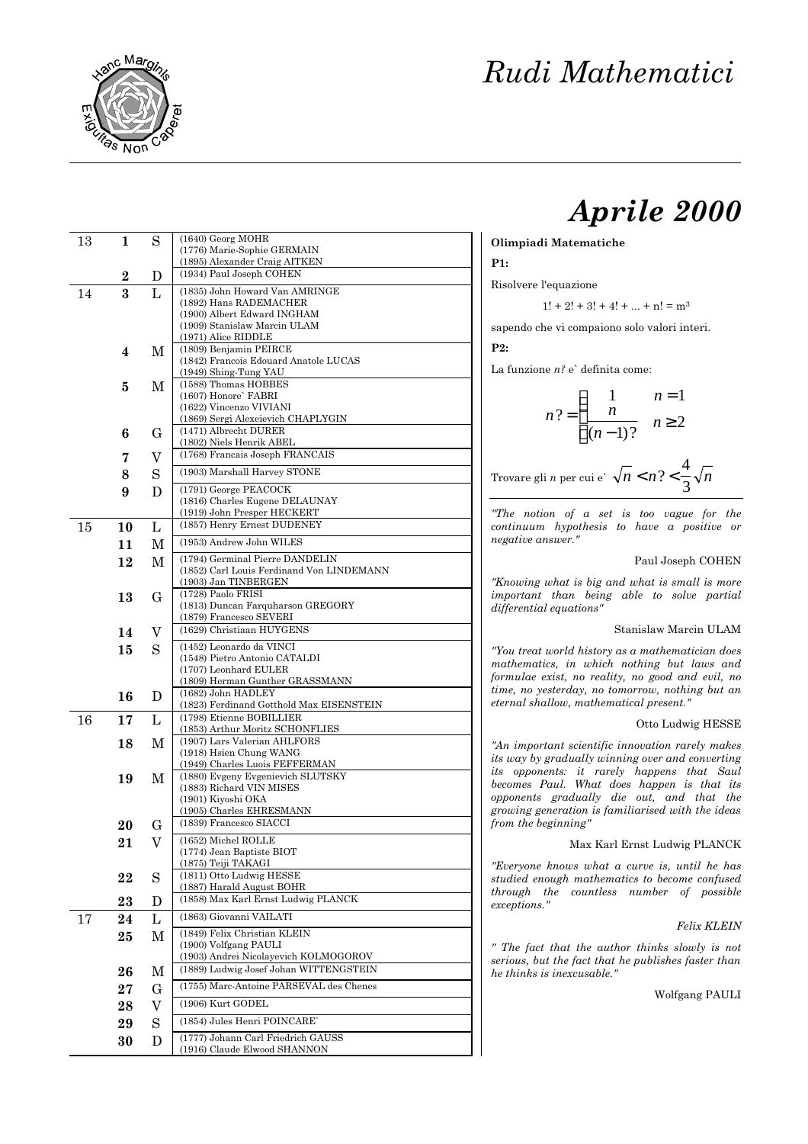

# *Aprile 2000*

### **Olimpiadi Matematiche**

### **P1:**

Risolvere l'equazione

 $1! + 2! + 3! + 4! + ... + n! = m<sup>3</sup>$ 

sapendo che vi compaiono solo valori interi.

**P2:**

La funzione *n?* e` definita come:

$$
n? = \begin{cases} \n1 & n = 1 \\ \n\frac{n}{(n-1)!} & n \ge 2 \n\end{cases}
$$

Trovare gli *n* per cui e`  $\sqrt{n} < n$  ?  $\lt -\sqrt{n}$  $\frac{4}{3}$ 

*"The notion of a set is too vague for the continuum hypothesis to have a positive or negative answer."*

### Paul Joseph COHEN

*"Knowing what is big and what is small is more important than being able to solve partial differential equations"*

## Stanislaw Marcin ULAM

*"You treat world history as a mathematician does mathematics, in which nothing but laws and formulae exist, no reality, no good and evil, no time, no yesterday, no tomorrow, nothing but an eternal shallow, mathematical present."*

#### Otto Ludwig HESSE

*"An important scientific innovation rarely makes its way by gradually winning over and converting its opponents: it rarely happens that Saul becomes Paul. What does happen is that its opponents gradually die out, and that the growing generation is familiarised with the ideas from the beginning"*

# Max Karl Ernst Ludwig PLANCK

*"Everyone knows what a curve is, until he has studied enough mathematics to become confused through the countless number of possible exceptions."*

# *Felix KLEIN*

*" The fact that the author thinks slowly is not serious, but the fact that he publishes faster than he thinks is inexcusable."*

Wolfgang PAULI

| 13 | 1         | S            | $(1640)$ Georg MOHR                                            |
|----|-----------|--------------|----------------------------------------------------------------|
|    |           |              | (1776) Marie-Sophie GERMAIN<br>(1895) Alexander Craig AITKEN   |
|    |           |              | (1934) Paul Joseph COHEN                                       |
|    | $\bf{2}$  | D            |                                                                |
| 14 | 3         | L            | (1835) John Howard Van AMRINGE<br>(1892) Hans RADEMACHER       |
|    |           |              | (1900) Albert Edward INGHAM                                    |
|    |           |              | (1909) Stanislaw Marcin ULAM                                   |
|    |           |              | (1971) Alice RIDDLE                                            |
|    | 4         | М            | (1809) Benjamin PEIRCE                                         |
|    |           |              | (1842) Francois Edouard Anatole LUCAS                          |
|    |           |              | (1949) Shing-Tung YAU<br>(1588) Thomas HOBBES                  |
|    | 5         | М            | (1607) Honore' FABRI                                           |
|    |           |              | (1622) Vincenzo VIVIANI                                        |
|    |           |              | (1869) Sergi Alexeievich CHAPLYGIN                             |
|    | 6         | G            | (1471) Albrecht DURER                                          |
|    |           |              | (1802) Niels Henrik ABEL                                       |
|    | 7         | V            | (1768) Francais Joseph FRANCAIS                                |
|    | 8         | S            | (1903) Marshall Harvey STONE                                   |
|    | 9         | D            | (1791) George PEACOCK                                          |
|    |           |              | (1816) Charles Eugene DELAUNAY                                 |
|    |           |              | (1919) John Presper HECKERT                                    |
| 15 | 10        | L            | (1857) Henry Ernest DUDENEY                                    |
|    | 11        | М            | (1953) Andrew John WILES                                       |
|    | 12        | М            | (1794) Germinal Pierre DANDELIN                                |
|    |           |              | (1852) Carl Louis Ferdinand Von LINDEMANN                      |
|    |           |              | (1903) Jan TINBERGEN                                           |
|    | 13        | G            | (1728) Paolo FRISI<br>(1813) Duncan Farquharson GREGORY        |
|    |           |              | (1879) Francesco SEVERI                                        |
|    | 14        | V            | (1629) Christiaan HUYGENS                                      |
|    | 15        | S            | (1452) Leonardo da VINCI                                       |
|    |           |              | (1548) Pietro Antonio CATALDI                                  |
|    |           |              | (1707) Leonhard EULER                                          |
|    |           |              | (1809) Herman Gunther GRASSMANN                                |
|    | 16        | D            | (1682) John HADLEY<br>(1823) Ferdinand Gotthold Max EISENSTEIN |
| 16 | 17        | L            | (1798) Etienne BOBILLIER                                       |
|    |           |              | (1853) Arthur Moritz SCHONFLIES                                |
|    | 18        | М            | (1907) Lars Valerian AHLFORS                                   |
|    |           |              | (1918) Hsien Chung WANG<br>(1949) Charles Luois FEFFERMAN      |
|    |           |              | (1880) Evgeny Evgenievich SLUTSKY                              |
|    | 19        | М            | (1883) Richard VIN MISES                                       |
|    |           |              | (1901) Kiyoshi OKA                                             |
|    |           |              | (1905) Charles EHRESMANN                                       |
|    | 20        | G            | (1839) Francesco SIACCI                                        |
|    | $\bf{21}$ | V            | (1652) Michel ROLLE                                            |
|    |           |              | (1774) Jean Baptiste BIOT<br>(1875) Teiji TAKAGI               |
|    |           |              | (1811) Otto Ludwig HESSE                                       |
|    | 22        | S            | (1887) Harald August BOHR                                      |
|    | 23        | D            | (1858) Max Karl Ernst Ludwig PLANCK                            |
| 17 | 24        | $\mathbf{L}$ | (1863) Giovanni VAILATI                                        |
|    | 25        | М            | (1849) Felix Christian KLEIN                                   |
|    |           |              | (1900) Volfgang PAULI                                          |
|    |           |              | (1903) Andrei Nicolayevich KOLMOGOROV                          |
|    | 26        | М            | (1889) Ludwig Josef Johan WITTENGSTEIN                         |
|    | $27\,$    | $\mathbf G$  | (1755) Marc-Antoine PARSEVAL des Chenes                        |
|    | 28        | V            | (1906) Kurt GODEL                                              |
|    |           | S            | (1854) Jules Henri POINCARE'                                   |
|    | 29        |              | (1777) Johann Carl Friedrich GAUSS                             |
|    | 30        | D            | (1916) Claude Elwood SHANNON                                   |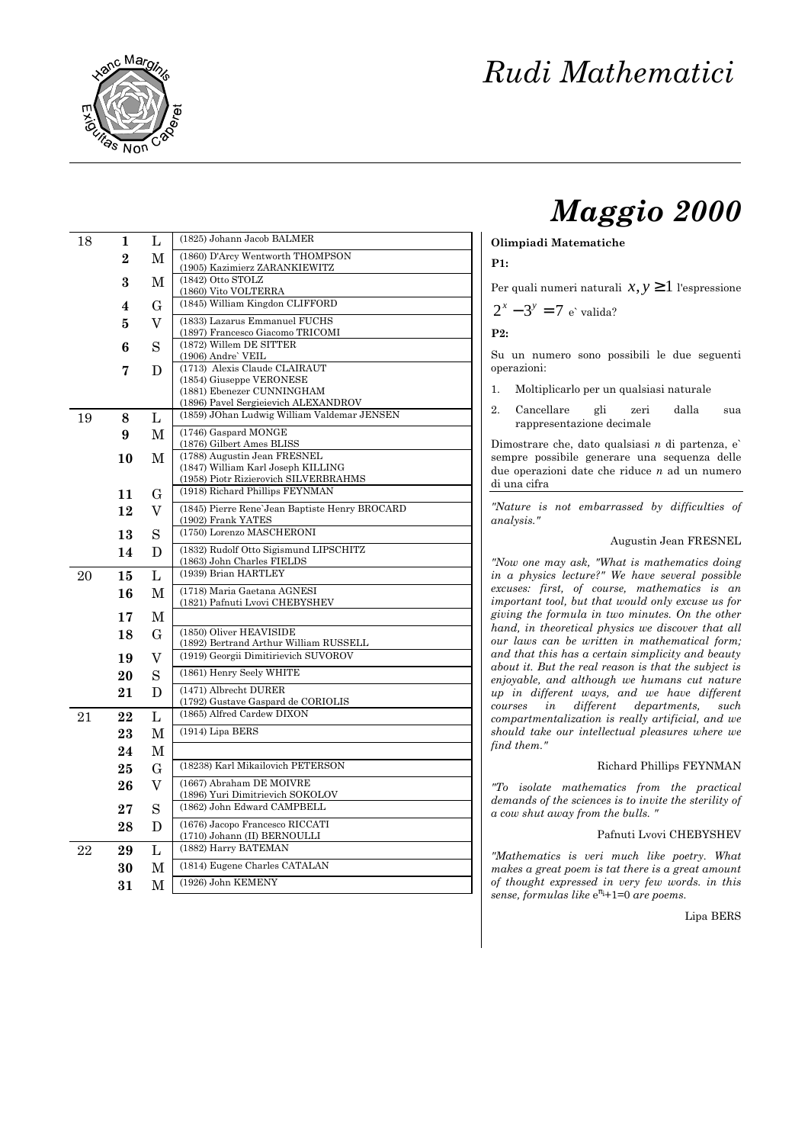

# *Maggio 2000*

### **Olimpiadi Matematiche**

**P1:**

Per quali numeri naturali  $x, y \ge 1$  l'espressione

$$
2^x - 3^y = 7
$$
 e' valida?

**P2:**

Su un numero sono possibili le due seguenti operazioni:

- 1. Moltiplicarlo per un qualsiasi naturale
- 2. Cancellare gli zeri dalla sua rappresentazione decimale

Dimostrare che, dato qualsiasi *n* di partenza, e` sempre possibile generare una sequenza delle due operazioni date che riduce *n* ad un numero di una cifra

*"Nature is not embarrassed by difficulties of analysis."*

### Augustin Jean FRESNEL

*"Now one may ask, "What is mathematics doing in a physics lecture?" We have several possible excuses: first, of course, mathematics is an important tool, but that would only excuse us for giving the formula in two minutes. On the other hand, in theoretical physics we discover that all our laws can be written in mathematical form; and that this has a certain simplicity and beauty about it. But the real reason is that the subject is enjoyable, and although we humans cut nature up in different ways, and we have different courses in different departments, such compartmentalization is really artificial, and we should take our intellectual pleasures where we find them."*

#### Richard Phillips FEYNMAN

*"To isolate mathematics from the practical demands of the sciences is to invite the sterility of a cow shut away from the bulls. "*

#### Pafnuti Lvovi CHEBYSHEV

*"Mathematics is veri much like poetry. What makes a great poem is tat there is a great amount of thought expressed in very few words. in this sense, formulas like* e <sup>π</sup>i+1=0 *are poems.*

Lipa BERS

| 18 | 1        | L              | (1825) Johann Jacob BALMER                                               |  |  |  |  |  |
|----|----------|----------------|--------------------------------------------------------------------------|--|--|--|--|--|
|    | $\bf{2}$ | M              | (1860) D'Arcy Wentworth THOMPSON<br>(1905) Kazimierz ZARANKIEWITZ        |  |  |  |  |  |
|    | 3        | M              | (1842) Otto STOLZ<br>(1860) Vito VOLTERRA                                |  |  |  |  |  |
|    | 4        | G              | (1845) William Kingdon CLIFFORD                                          |  |  |  |  |  |
|    | 5        | V              | (1833) Lazarus Emmanuel FUCHS                                            |  |  |  |  |  |
|    | 6        | S              | (1897) Francesco Giacomo TRICOMI<br>(1872) Willem DE SITTER              |  |  |  |  |  |
|    | 7        | D              | (1906) Andre' VEIL<br>(1713) Alexis Claude CLAIRAUT                      |  |  |  |  |  |
|    |          |                | (1854) Giuseppe VERONESE<br>(1881) Ebenezer CUNNINGHAM                   |  |  |  |  |  |
|    |          |                | (1896) Pavel Sergieievich ALEXANDROV                                     |  |  |  |  |  |
| 19 | 8        | L              | (1859) JOhan Ludwig William Valdemar JENSEN                              |  |  |  |  |  |
|    | 9        | M              | (1746) Gaspard MONGE                                                     |  |  |  |  |  |
|    | 10       | M              | (1876) Gilbert Ames BLISS<br>(1788) Augustin Jean FRESNEL                |  |  |  |  |  |
|    |          |                | (1847) William Karl Joseph KILLING                                       |  |  |  |  |  |
|    |          |                | (1958) Piotr Rizierovich SILVERBRAHMS<br>(1918) Richard Phillips FEYNMAN |  |  |  |  |  |
|    | 11       | G              |                                                                          |  |  |  |  |  |
|    | 12       | V              | (1845) Pierre Rene'Jean Baptiste Henry BROCARD<br>(1902) Frank YATES     |  |  |  |  |  |
|    | 13       | S              | (1750) Lorenzo MASCHERONI                                                |  |  |  |  |  |
|    | 14       | D              | (1832) Rudolf Otto Sigismund LIPSCHITZ<br>(1863) John Charles FIELDS     |  |  |  |  |  |
| 20 | 15       | L              | (1939) Brian HARTLEY                                                     |  |  |  |  |  |
|    | 16       | M              | (1718) Maria Gaetana AGNESI                                              |  |  |  |  |  |
|    | 17       | $\mathbf M$    | (1821) Pafnuti Lvovi CHEBYSHEV                                           |  |  |  |  |  |
|    | 18       | G              | (1850) Oliver HEAVISIDE                                                  |  |  |  |  |  |
|    |          |                | (1892) Bertrand Arthur William RUSSELL                                   |  |  |  |  |  |
|    | 19       | V              | (1919) Georgii Dimitirievich SUVOROV                                     |  |  |  |  |  |
|    | 20       | S              | (1861) Henry Seely WHITE                                                 |  |  |  |  |  |
|    | 21       | D              | (1471) Albrecht DURER<br>(1792) Gustave Gaspard de CORIOLIS              |  |  |  |  |  |
| 21 | 22       | $\mathbf{L}$   | (1865) Alfred Cardew DIXON                                               |  |  |  |  |  |
|    | 23       | M              | (1914) Lipa BERS                                                         |  |  |  |  |  |
|    | 24       | М              |                                                                          |  |  |  |  |  |
|    | 25       | $\mathbf G$    | (18238) Karl Mikailovich PETERSON                                        |  |  |  |  |  |
|    | 26       | $\overline{V}$ | (1667) Abraham DE MOIVRE                                                 |  |  |  |  |  |
|    | 27       | S              | (1896) Yuri Dimitrievich SOKOLOV<br>(1862) John Edward CAMPBELL          |  |  |  |  |  |
|    | 28       | D              | (1676) Jacopo Francesco RICCATI<br>(1710) Johann (II) BERNOULLI          |  |  |  |  |  |
| 22 | 29       | L              | (1882) Harry BATEMAN                                                     |  |  |  |  |  |
|    | 30       | M              | (1814) Eugene Charles CATALAN                                            |  |  |  |  |  |
|    | 31       | $\mathbf M$    | (1926) John KEMENY                                                       |  |  |  |  |  |
|    |          |                |                                                                          |  |  |  |  |  |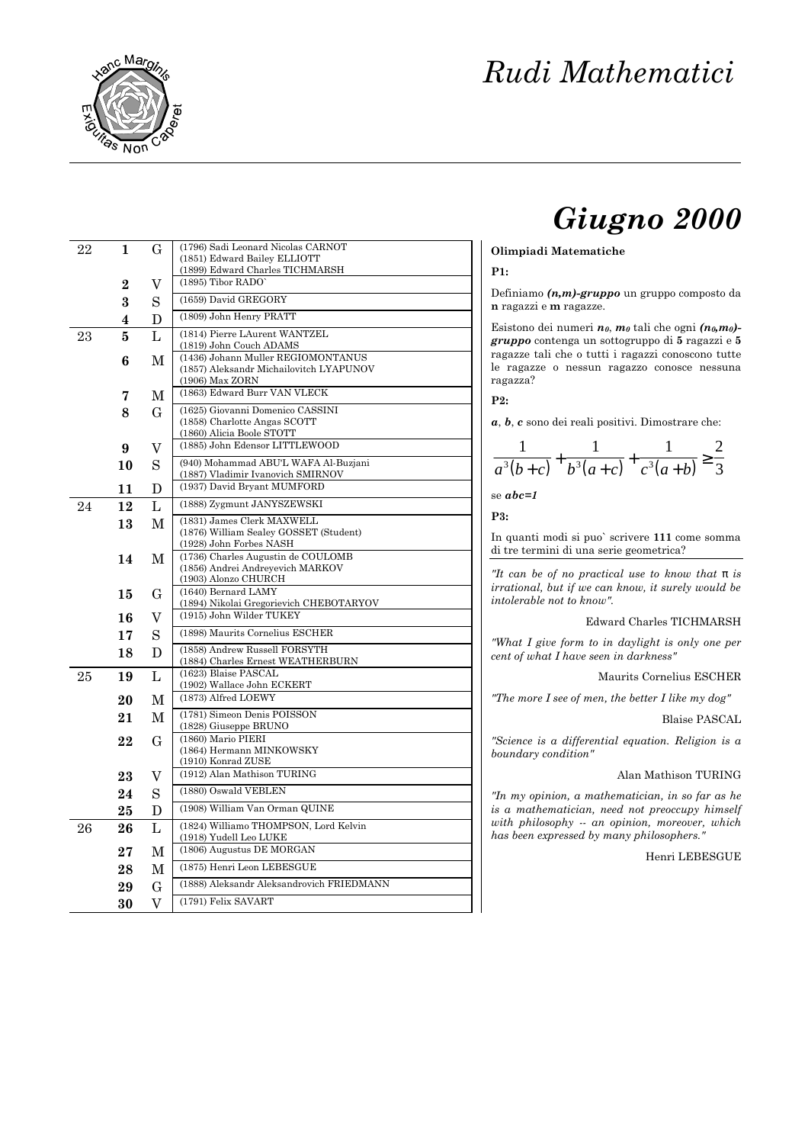

# *Giugno 2000*

### **Olimpiadi Matematiche**

### **P1:**

Definiamo *(n,m)-gruppo* un gruppo composto da **n** ragazzi e **m** ragazze.

Esistono dei numeri *n0*, *m0* tali che ogni *(n0,m0) gruppo* contenga un sottogruppo di **5** ragazzi e **5** ragazze tali che o tutti i ragazzi conoscono tutte le ragazze o nessun ragazzo conosce nessuna ragazza?

**P2:**

*a*, *b*, *c* sono dei reali positivi. Dimostrare che:

$$
\frac{1}{a^3(b+c)} + \frac{1}{b^3(a+c)} + \frac{1}{c^3(a+b)} \ge \frac{2}{3}
$$

se *abc=1*

**P3:**

In quanti modi si puo` scrivere **111** come somma di tre termini di una serie geometrica?

*"It can be of no practical use to know that p is irrational, but if we can know, it surely would be intolerable not to know".*

#### Edward Charles TICHMARSH

*"What I give form to in daylight is only one per cent of what I have seen in darkness"*

Maurits Cornelius ESCHER

*"The more I see of men, the better I like my dog"*

#### Blaise PASCAL

*"Science is a differential equation. Religion is a boundary condition"*

# Alan Mathison TURING

*"In my opinion, a mathematician, in so far as he is a mathematician, need not preoccupy himself with philosophy -- an opinion, moreover, which has been expressed by many philosophers."*

Henri LEBESGUE

| 22       | 1                            | G              | (1796) Sadi Leonard Nicolas CARNOT<br>(1851) Edward Bailey ELLIOTT            |  |  |  |  |
|----------|------------------------------|----------------|-------------------------------------------------------------------------------|--|--|--|--|
|          |                              | V              | (1899) Edward Charles TICHMARSH<br>(1895) Tibor RADO'                         |  |  |  |  |
|          | 2<br>$\overline{\mathbf{3}}$ | S              | (1659) David GREGORY                                                          |  |  |  |  |
|          | 4                            | D              | (1809) John Henry PRATT                                                       |  |  |  |  |
| 23       | 5                            | L              | (1814) Pierre LAurent WANTZEL                                                 |  |  |  |  |
|          |                              |                | (1819) John Couch ADAMS                                                       |  |  |  |  |
|          | 6                            | M              | (1436) Johann Muller REGIOMONTANUS<br>(1857) Aleksandr Michailovitch LYAPUNOV |  |  |  |  |
|          |                              |                | (1906) Max ZORN                                                               |  |  |  |  |
|          | 7                            | M              | (1863) Edward Burr VAN VLECK                                                  |  |  |  |  |
|          | 8                            | $\mathbf G$    | (1625) Giovanni Domenico CASSINI                                              |  |  |  |  |
|          |                              |                | (1858) Charlotte Angas SCOTT<br>(1860) Alicia Boole STOTT                     |  |  |  |  |
|          | 9                            | V              | (1885) John Edensor LITTLEWOOD                                                |  |  |  |  |
|          | 10                           | S              | (940) Mohammad ABU'L WAFA Al-Buzjani                                          |  |  |  |  |
|          |                              |                | (1887) Vladimir Ivanovich SMIRNOV                                             |  |  |  |  |
|          | 11                           | D              | (1937) David Bryant MUMFORD                                                   |  |  |  |  |
| 24       | 12                           | L              | (1888) Zygmunt JANYSZEWSKI                                                    |  |  |  |  |
|          | 13                           | M              | (1831) James Clerk MAXWELL                                                    |  |  |  |  |
|          |                              |                | (1876) William Sealey GOSSET (Student)<br>(1928) John Forbes NASH             |  |  |  |  |
|          | 14                           | M              | (1736) Charles Augustin de COULOMB                                            |  |  |  |  |
|          |                              |                | (1856) Andrei Andreyevich MARKOV                                              |  |  |  |  |
|          |                              |                | (1903) Alonzo CHURCH<br>(1640) Bernard LAMY                                   |  |  |  |  |
|          | 15                           | $\mathbf G$    | (1894) Nikolai Gregorievich CHEBOTARYOV                                       |  |  |  |  |
|          | 16                           | V              | (1915) John Wilder TUKEY                                                      |  |  |  |  |
|          | 17                           | S              | (1898) Maurits Cornelius ESCHER                                               |  |  |  |  |
|          | 18                           | D              | (1858) Andrew Russell FORSYTH                                                 |  |  |  |  |
|          |                              |                | (1884) Charles Ernest WEATHERBURN<br>(1623) Blaise PASCAL                     |  |  |  |  |
| $\rm 25$ | 19                           | L              | (1902) Wallace John ECKERT                                                    |  |  |  |  |
|          | 20                           | M              | (1873) Alfred LOEWY                                                           |  |  |  |  |
|          | 21                           | М              | (1781) Simeon Denis POISSON                                                   |  |  |  |  |
|          |                              |                | (1828) Giuseppe BRUNO                                                         |  |  |  |  |
|          | 22                           | G              | (1860) Mario PIERI<br>(1864) Hermann MINKOWSKY                                |  |  |  |  |
|          |                              |                | (1910) Konrad ZUSE                                                            |  |  |  |  |
|          | 23                           | V              | (1912) Alan Mathison TURING                                                   |  |  |  |  |
|          | 24                           | S              | (1880) Oswald VEBLEN                                                          |  |  |  |  |
|          | 25                           | D              | (1908) William Van Orman QUINE                                                |  |  |  |  |
| 26       | 26                           | L              | (1824) Williamo THOMPSON, Lord Kelvin<br>(1918) Yudell Leo LUKE               |  |  |  |  |
|          | $\bf{27}$                    | M              | (1806) Augustus DE MORGAN                                                     |  |  |  |  |
|          | 28                           | M              | (1875) Henri Leon LEBESGUE                                                    |  |  |  |  |
|          | 29                           | $\mathbf G$    | (1888) Aleksandr Aleksandrovich FRIEDMANN                                     |  |  |  |  |
|          | 30                           | $\overline{V}$ | (1791) Felix SAVART                                                           |  |  |  |  |
|          |                              |                |                                                                               |  |  |  |  |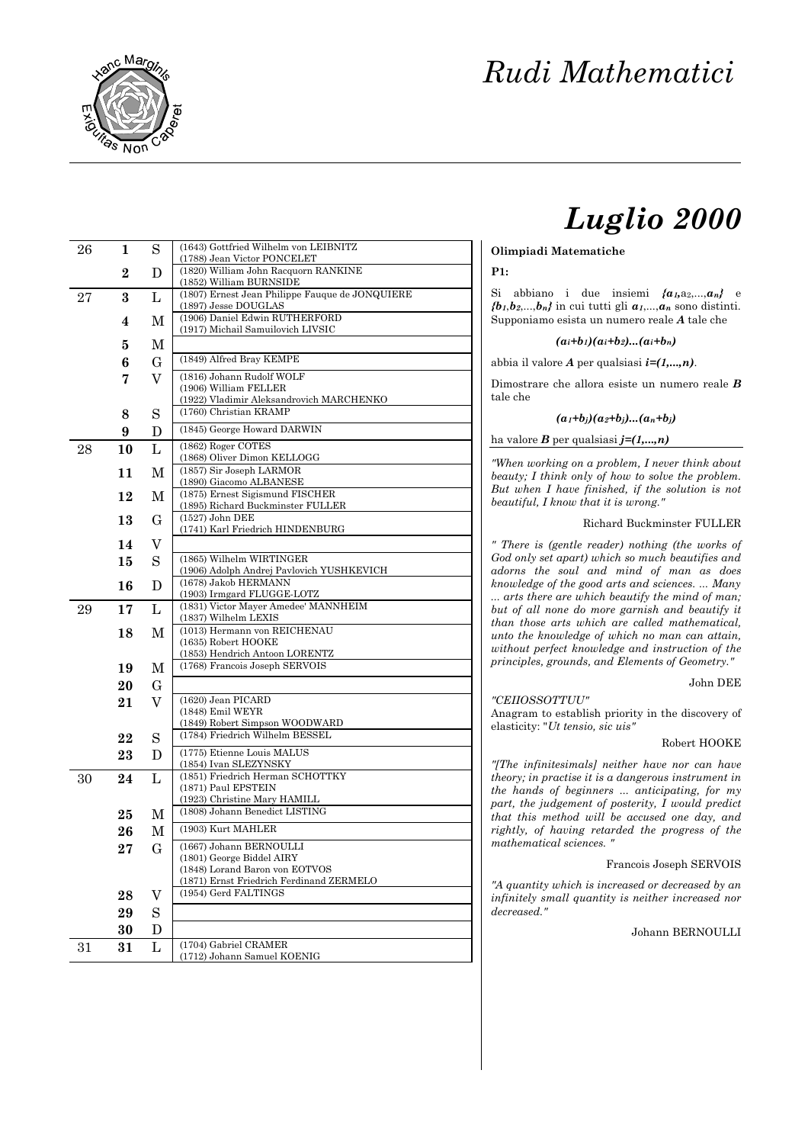

# *Luglio 2000*

### **Olimpiadi Matematiche**

#### **P1:**

Si abbiano i due insiemi  ${a_1, a_2,..., a_n}$  e  ${b_1, b_2,...,b_n}$  in cui tutti gli  ${a_1,...,a_n}$  sono distinti. Supponiamo esista un numero reale *A* tale che

### $(a_i + b_i)(a_i + b_2)...(a_i + b_n)$

abbia il valore *A* per qualsiasi *i=(1,...,n)*.

Dimostrare che allora esiste un numero reale *B* tale che

# $(a_1 + b_1)(a_2 + b_1)...(a_n + b_n)$

ha valore *B* per qualsiasi *j=(1,...,n)*

*"When working on a problem, I never think about beauty; I think only of how to solve the problem. But when I have finished, if the solution is not beautiful, I know that it is wrong."*

### Richard Buckminster FULLER

*" There is (gentle reader) nothing (the works of God only set apart) which so much beautifies and adorns the soul and mind of man as does knowledge of the good arts and sciences. ... Many ... arts there are which beautify the mind of man; but of all none do more garnish and beautify it than those arts which are called mathematical, unto the knowledge of which no man can attain, without perfect knowledge and instruction of the principles, grounds, and Elements of Geometry."*

#### John DEE

# *"CEIIOSSOTTUU"*

Anagram to establish priority in the discovery of elasticity: "*Ut tensio, sic uis"*

#### Robert HOOKE

*"[The infinitesimals] neither have nor can have theory; in practise it is a dangerous instrument in the hands of beginners ... anticipating, for my part, the judgement of posterity, I would predict that this method will be accused one day, and rightly, of having retarded the progress of the mathematical sciences. "*

#### Francois Joseph SERVOIS

*"A quantity which is increased or decreased by an infinitely small quantity is neither increased nor decreased."*

# Johann BERNOULLI

| 26 | 1  | S           | (1643) Gottfried Wilhelm von LEIBNITZ<br>(1788) Jean Victor PONCELET  |  |  |  |  |  |
|----|----|-------------|-----------------------------------------------------------------------|--|--|--|--|--|
|    | 2  | D           | (1820) William John Racquorn RANKINE<br>(1852) William BURNSIDE       |  |  |  |  |  |
| 27 | 3  | L           | (1807) Ernest Jean Philippe Fauque de JONQUIERE                       |  |  |  |  |  |
|    | 4  |             | (1897) Jesse DOUGLAS<br>(1906) Daniel Edwin RUTHERFORD                |  |  |  |  |  |
|    |    | М           | (1917) Michail Samuilovich LIVSIC                                     |  |  |  |  |  |
|    | 5  | М           |                                                                       |  |  |  |  |  |
|    | 6  | G           | (1849) Alfred Bray KEMPE                                              |  |  |  |  |  |
|    | 7  | $\rm V$     | (1816) Johann Rudolf WOLF<br>(1906) William FELLER                    |  |  |  |  |  |
|    |    |             | (1922) Vladimir Aleksandrovich MARCHENKO                              |  |  |  |  |  |
|    | 8  | S           | (1760) Christian KRAMP                                                |  |  |  |  |  |
|    | 9  | D           | (1845) George Howard DARWIN                                           |  |  |  |  |  |
| 28 | 10 | L           | (1862) Roger COTES<br>(1868) Oliver Dimon KELLOGG                     |  |  |  |  |  |
|    | 11 | M           | (1857) Sir Joseph LARMOR                                              |  |  |  |  |  |
|    | 12 | М           | (1890) Giacomo ALBANESE<br>(1875) Ernest Sigismund FISCHER            |  |  |  |  |  |
|    |    |             | (1895) Richard Buckminster FULLER                                     |  |  |  |  |  |
|    | 13 | G           | (1527) John DEE<br>(1741) Karl Friedrich HINDENBURG                   |  |  |  |  |  |
|    | 14 | V           |                                                                       |  |  |  |  |  |
|    | 15 | S           | (1865) Wilhelm WIRTINGER<br>(1906) Adolph Andrej Pavlovich YUSHKEVICH |  |  |  |  |  |
|    | 16 | D           | (1678) Jakob HERMANN<br>(1903) Irmgard FLUGGE-LOTZ                    |  |  |  |  |  |
| 29 | 17 | L           | (1831) Victor Mayer Amedee' MANNHEIM                                  |  |  |  |  |  |
|    |    |             | (1837) Wilhelm LEXIS                                                  |  |  |  |  |  |
|    | 18 | M           | (1013) Hermann von REICHENAU<br>(1635) Robert HOOKE                   |  |  |  |  |  |
|    |    |             | (1853) Hendrich Antoon LORENTZ                                        |  |  |  |  |  |
|    | 19 | M           | (1768) Francois Joseph SERVOIS                                        |  |  |  |  |  |
|    | 20 | G           |                                                                       |  |  |  |  |  |
|    | 21 | V           | (1620) Jean PICARD<br>(1848) Emil WEYR                                |  |  |  |  |  |
|    |    |             | (1849) Robert Simpson WOODWARD                                        |  |  |  |  |  |
|    | 22 | S           | (1784) Friedrich Wilhelm BESSEL                                       |  |  |  |  |  |
|    | 23 | D           | (1775) Etienne Louis MALUS<br>(1854) Ivan SLEZYNSKY                   |  |  |  |  |  |
| 30 | 24 | L           | (1851) Friedrich Herman SCHOTTKY                                      |  |  |  |  |  |
|    |    |             | (1871) Paul EPSTEIN<br>(1923) Christine Mary HAMILL                   |  |  |  |  |  |
|    | 25 | М           | (1808) Johann Benedict LISTING                                        |  |  |  |  |  |
|    | 26 | $\mathbf M$ | (1903) Kurt MAHLER                                                    |  |  |  |  |  |
|    | 27 | $\mathbf G$ | (1667) Johann BERNOULLI<br>(1801) George Biddel AIRY                  |  |  |  |  |  |
|    |    |             | (1848) Lorand Baron von EOTVOS                                        |  |  |  |  |  |
|    |    |             | (1871) Ernst Friedrich Ferdinand ZERMELO<br>(1954) Gerd FALTINGS      |  |  |  |  |  |
|    | 28 | V           |                                                                       |  |  |  |  |  |
|    | 29 | $\rm S$     |                                                                       |  |  |  |  |  |
|    | 30 | D           | (1704) Gabriel CRAMER                                                 |  |  |  |  |  |
| 31 | 31 | L           | (1712) Johann Samuel KOENIG                                           |  |  |  |  |  |
|    |    |             |                                                                       |  |  |  |  |  |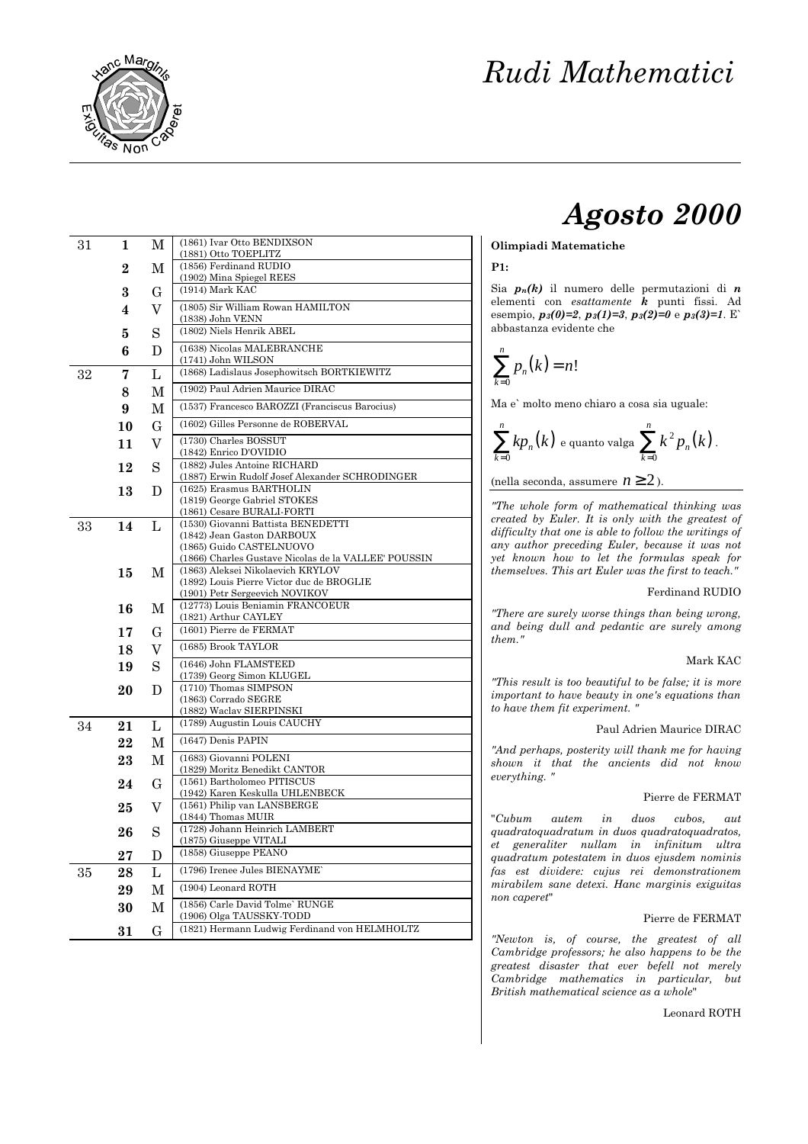

# *Agosto 2000*

# **Olimpiadi Matematiche**

# **P1:**

Sia *pn(k)* il numero delle permutazioni di *n* elementi con *esattamente k* punti fissi. Ad esempio, *p3(0)=2*, *p3(1)=3*, *p3(2)=0* e *p3(3)=1*. E` abbastanza evidente che

$$
\sum_{k=0}^n p_n(k) = n!
$$

Ma e` molto meno chiaro a cosa sia uguale:

$$
\sum_{k=0}^n k p_n(k) \text{ e quanto valga } \sum_{k=0}^n k^2 p_n(k).
$$

(nella seconda, assumere  $n \ge 2$ ).

*"The whole form of mathematical thinking was created by Euler. It is only with the greatest of difficulty that one is able to follow the writings of any author preceding Euler, because it was not yet known how to let the formulas speak for themselves. This art Euler was the first to teach."*

#### Ferdinand RUDIO

*"There are surely worse things than being wrong, and being dull and pedantic are surely among them."*

#### Mark KAC

*"This result is too beautiful to be false; it is more important to have beauty in one's equations than to have them fit experiment. "*

#### Paul Adrien Maurice DIRAC

*"And perhaps, posterity will thank me for having shown it that the ancients did not know everything. "*

### Pierre de FERMAT

"*Cubum autem in duos cubos, aut quadratoquadratum in duos quadratoquadratos, et generaliter nullam in infinitum ultra quadratum potestatem in duos ejusdem nominis fas est dividere: cujus rei demonstrationem mirabilem sane detexi. Hanc marginis exiguitas non caperet*"

#### Pierre de FERMAT

*"Newton is, of course, the greatest of all Cambridge professors; he also happens to be the greatest disaster that ever befell not merely Cambridge mathematics in particular, but British mathematical science as a whole*"

Leonard ROTH

| 31 | 1         | М     | (1861) Ivar Otto BENDIXSON                                                       |  |  |  |  |  |
|----|-----------|-------|----------------------------------------------------------------------------------|--|--|--|--|--|
|    |           |       | (1881) Otto TOEPLITZ<br>(1856) Ferdinand RUDIO                                   |  |  |  |  |  |
|    | $\bf{2}$  | М     |                                                                                  |  |  |  |  |  |
|    |           |       | (1902) Mina Spiegel REES<br>$(1914)$ Mark KAC                                    |  |  |  |  |  |
|    | 3         | G     |                                                                                  |  |  |  |  |  |
|    | 4         | V     | (1805) Sir William Rowan HAMILTON<br>(1838) John VENN                            |  |  |  |  |  |
|    | 5         | S     | (1802) Niels Henrik ABEL                                                         |  |  |  |  |  |
|    |           |       | (1638) Nicolas MALEBRANCHE                                                       |  |  |  |  |  |
|    | 6         | D     | (1741) John WILSON                                                               |  |  |  |  |  |
| 32 | 7         | L     | (1868) Ladislaus Josephowitsch BORTKIEWITZ                                       |  |  |  |  |  |
|    | 8         | М     | (1902) Paul Adrien Maurice DIRAC                                                 |  |  |  |  |  |
|    | 9         | М     | (1537) Francesco BAROZZI (Franciscus Barocius)                                   |  |  |  |  |  |
|    | 10        | G     | (1602) Gilles Personne de ROBERVAL                                               |  |  |  |  |  |
|    |           |       | (1730) Charles BOSSUT                                                            |  |  |  |  |  |
|    | 11        | V     | (1842) Enrico D'OVIDIO                                                           |  |  |  |  |  |
|    | 12        | S     | (1882) Jules Antoine RICHARD                                                     |  |  |  |  |  |
|    |           |       | (1887) Erwin Rudolf Josef Alexander SCHRODINGER<br>(1625) Erasmus BARTHOLIN      |  |  |  |  |  |
|    | 13        | D     | (1819) George Gabriel STOKES                                                     |  |  |  |  |  |
|    |           |       | (1861) Cesare BURALI-FORTI                                                       |  |  |  |  |  |
| 33 | 14        | L     | (1530) Giovanni Battista BENEDETTI                                               |  |  |  |  |  |
|    |           |       | (1842) Jean Gaston DARBOUX                                                       |  |  |  |  |  |
|    |           |       | (1865) Guido CASTELNUOVO<br>(1866) Charles Gustave Nicolas de la VALLEE' POUSSIN |  |  |  |  |  |
|    | 15        | M     | (1863) Aleksei Nikolaevich KRYLOV                                                |  |  |  |  |  |
|    |           |       | (1892) Louis Pierre Victor duc de BROGLIE                                        |  |  |  |  |  |
|    |           |       | (1901) Petr Sergeevich NOVIKOV                                                   |  |  |  |  |  |
|    | 16        | M     | (12773) Louis Beniamin FRANCOEUR<br>(1821) Arthur CAYLEY                         |  |  |  |  |  |
|    | 17        | G     | (1601) Pierre de FERMAT                                                          |  |  |  |  |  |
|    |           |       | (1685) Brook TAYLOR                                                              |  |  |  |  |  |
|    | 18        | V     |                                                                                  |  |  |  |  |  |
|    | 19        | S     | (1646) John FLAMSTEED<br>(1739) Georg Simon KLUGEL                               |  |  |  |  |  |
|    | 20        | D     | (1710) Thomas SIMPSON                                                            |  |  |  |  |  |
|    |           |       | (1863) Corrado SEGRE                                                             |  |  |  |  |  |
|    |           |       | (1882) Waclav SIERPINSKI                                                         |  |  |  |  |  |
| 34 | 21        | L     | (1789) Augustin Louis CAUCHY                                                     |  |  |  |  |  |
|    | 22        | М     | (1647) Denis PAPIN                                                               |  |  |  |  |  |
|    | 23        | М     | (1683) Giovanni POLENI                                                           |  |  |  |  |  |
|    |           |       | (1829) Moritz Benedikt CANTOR                                                    |  |  |  |  |  |
|    | 24        | G     | (1561) Bartholomeo PITISCUS<br>(1942) Karen Keskulla UHLENBECK                   |  |  |  |  |  |
|    | 25        | V     | (1561) Philip van LANSBERGE                                                      |  |  |  |  |  |
|    |           |       | (1844) Thomas MUIR                                                               |  |  |  |  |  |
|    | 26        | S     | (1728) Johann Heinrich LAMBERT                                                   |  |  |  |  |  |
|    |           |       | (1875) Giuseppe VITALI<br>(1858) Giuseppe PEANO                                  |  |  |  |  |  |
|    | $\bf{27}$ | D     | (1796) Irenee Jules BIENAYME'                                                    |  |  |  |  |  |
| 35 | 28        | Г     |                                                                                  |  |  |  |  |  |
|    | 29        | М     | (1904) Leonard ROTH                                                              |  |  |  |  |  |
|    | 30        | М     | (1856) Carle David Tolme' RUNGE<br>(1906) Olga TAUSSKY-TODD                      |  |  |  |  |  |
|    | $31\,$    | $G\,$ | (1821) Hermann Ludwig Ferdinand von HELMHOLTZ                                    |  |  |  |  |  |
|    |           |       |                                                                                  |  |  |  |  |  |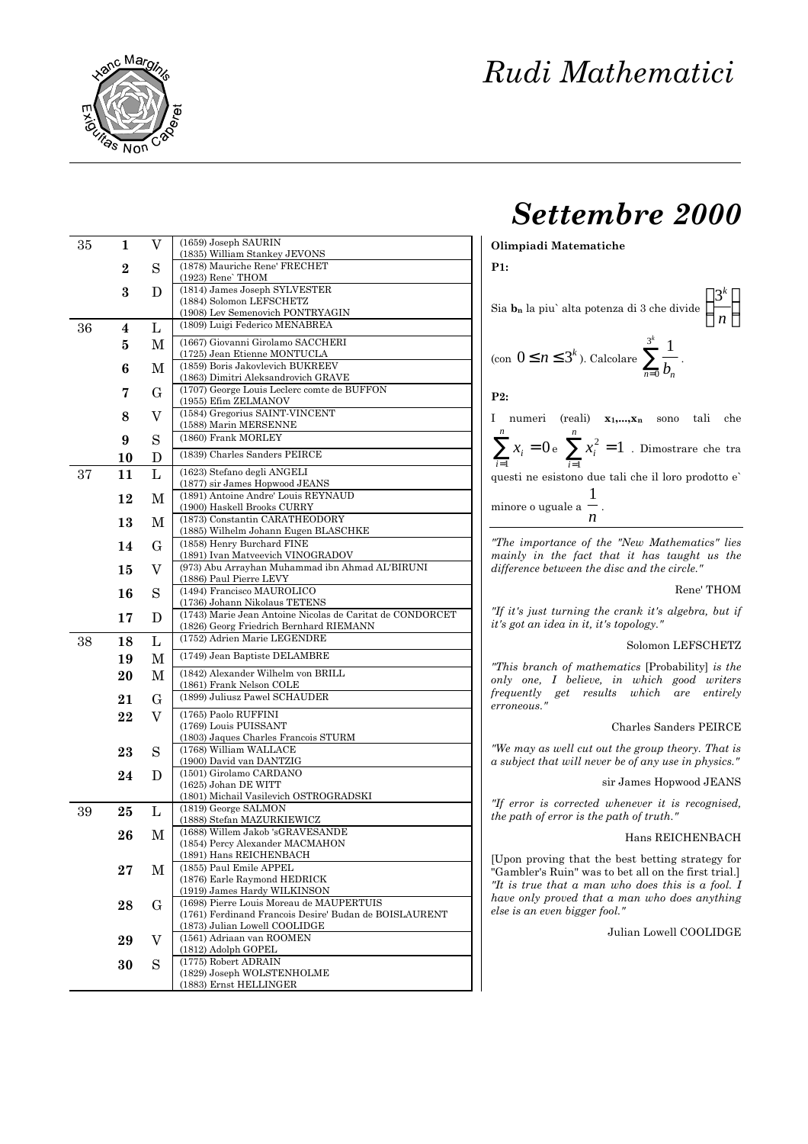

# *Settembre 2000*

**Olimpiadi Matematiche**

**P1:**

|              |                | Sia <b>b</b> <sub>n</sub> la piu` alta potenza di 3 che divide $\left(\frac{3^k}{n}\right)$ |      |      |     |
|--------------|----------------|---------------------------------------------------------------------------------------------|------|------|-----|
|              |                | (con $0 \le n \le 3^k$ ). Calcolare $\sum_{n=0}^{3^k} \frac{1}{b_n}$ .                      |      |      |     |
| P2:          |                |                                                                                             |      |      |     |
| $\mathbf{I}$ | numeri (reali) | $X_1,,X_n$                                                                                  | sono | tali | che |

 $\sum_{i=1}^{n}$ *x*<sub>*i*</sub> *n*  $\sum_{i=1} x_i = 0$  e  $\sum_{i=1} x_i$  $\sum_{n=1}^{n}$ 1 1  $\sum_{i=1} x_i^2 = 1$  . Dimostrare che tra questi ne esistono due tali che il loro prodotto e`

minore o uguale a  $\frac{1}{\sqrt{2}}$ *n* .

*"The importance of the "New Mathematics" lies mainly in the fact that it has taught us the difference between the disc and the circle."*

# Rene' THOM

*"If it's just turning the crank it's algebra, but if it's got an idea in it, it's topology."*

# Solomon LEFSCHETZ

*"This branch of mathematics* [Probability] *is the only one, I believe, in which good writers frequently get results which are entirely erroneous."*

# Charles Sanders PEIRCE

*"We may as well cut out the group theory. That is a subject that will never be of any use in physics."*

sir James Hopwood JEANS

*"If error is corrected whenever it is recognised, the path of error is the path of truth."*

#### Hans REICHENBACH

[Upon proving that the best betting strategy for "Gambler's Ruin" was to bet all on the first trial.] *"It is true that a man who does this is a fool. I have only proved that a man who does anything else is an even bigger fool."*

# Julian Lowell COOLIDGE

| 35 | 1              | V           | (1659) Joseph SAURIN                                                    |
|----|----------------|-------------|-------------------------------------------------------------------------|
|    | $\overline{2}$ | S           | (1835) William Stankey JEVONS<br>(1878) Mauriche Rene' FRECHET          |
|    |                |             | (1923) Rene' THOM                                                       |
|    | 3              | D           | (1814) James Joseph SYLVESTER                                           |
|    |                |             | (1884) Solomon LEFSCHETZ<br>(1908) Lev Semenovich PONTRYAGIN            |
| 36 | 4              | L           | (1809) Luigi Federico MENABREA                                          |
|    | 5              | M           | (1667) Giovanni Girolamo SACCHERI                                       |
|    |                |             | (1725) Jean Etienne MONTUCLA                                            |
|    | 6              | М           | (1859) Boris Jakovlevich BUKREEV<br>(1863) Dimitri Aleksandrovich GRAVE |
|    | 7              | G           | (1707) George Louis Leclerc comte de BUFFON                             |
|    |                |             | (1955) Efim ZELMANOV<br>(1584) Gregorius SAINT-VINCENT                  |
|    | 8              | V           | (1588) Marin MERSENNE                                                   |
|    | 9              | S           | (1860) Frank MORLEY                                                     |
|    | 10             | D           | (1839) Charles Sanders PEIRCE                                           |
| 37 | 11             | L           | (1623) Stefano degli ANGELI                                             |
|    |                |             | (1877) sir James Hopwood JEANS                                          |
|    | 12             | М           | (1891) Antoine Andre' Louis REYNAUD<br>(1900) Haskell Brooks CURRY      |
|    | 13             | M           | (1873) Constantin CARATHEODORY                                          |
|    |                |             | (1885) Wilhelm Johann Eugen BLASCHKE                                    |
|    | 14             | G           | (1858) Henry Burchard FINE<br>(1891) Ivan Matveevich VINOGRADOV         |
|    | 15             | V           | (973) Abu Arrayhan Muhammad ibn Ahmad AL'BIRUNI                         |
|    |                |             | (1886) Paul Pierre LEVY                                                 |
|    | 16             | S           | (1494) Francisco MAUROLICO<br>(1736) Johann Nikolaus TETENS             |
|    | 17             | D           | (1743) Marie Jean Antoine Nicolas de Caritat de CONDORCET               |
|    |                |             | (1826) Georg Friedrich Bernhard RIEMANN                                 |
| 38 | 18             | L           | (1752) Adrien Marie LEGENDRE                                            |
|    | 19             | $\mathbf M$ | (1749) Jean Baptiste DELAMBRE                                           |
|    | 20             | М           | (1842) Alexander Wilhelm von BRILL<br>(1861) Frank Nelson COLE          |
|    | 21             | G           | (1899) Juliusz Pawel SCHAUDER                                           |
|    | 22             | V           | (1765) Paolo RUFFINI                                                    |
|    |                |             | (1769) Louis PUISSANT                                                   |
|    |                |             | (1803) Jaques Charles Francois STURM<br>(1768) William WALLACE          |
|    | 23             | S           | (1900) David van DANTZIG                                                |
|    | 24             | D           | (1501) Girolamo CARDANO                                                 |
|    |                |             | (1625) Johan DE WITT<br>(1801) Michail Vasilevich OSTROGRADSKI          |
| 39 | 25             | L           | (1819) George SALMON                                                    |
|    |                |             | (1888) Stefan MAZURKIEWICZ                                              |
|    | 26             | М           | (1688) Willem Jakob 'sGRAVESANDE<br>(1854) Percy Alexander MACMAHON     |
|    |                |             | (1891) Hans REICHENBACH                                                 |
|    | $27\,$         | M           | (1855) Paul Emile APPEL                                                 |
|    |                |             | (1876) Earle Raymond HEDRICK<br>(1919) James Hardy WILKINSON            |
|    | 28             | $\mathbf G$ | (1698) Pierre Louis Moreau de MAUPERTUIS                                |
|    |                |             | (1761) Ferdinand Francois Desire' Budan de BOISLAURENT                  |
|    |                |             | (1873) Julian Lowell COOLIDGE<br>(1561) Adriaan van ROOMEN              |
|    | 29             | V           | (1812) Adolph GOPEL                                                     |
|    | 30             | S           | (1775) Robert ADRAIN                                                    |
|    |                |             | (1829) Joseph WOLSTENHOLME<br>(1883) Ernst HELLINGER                    |
|    |                |             |                                                                         |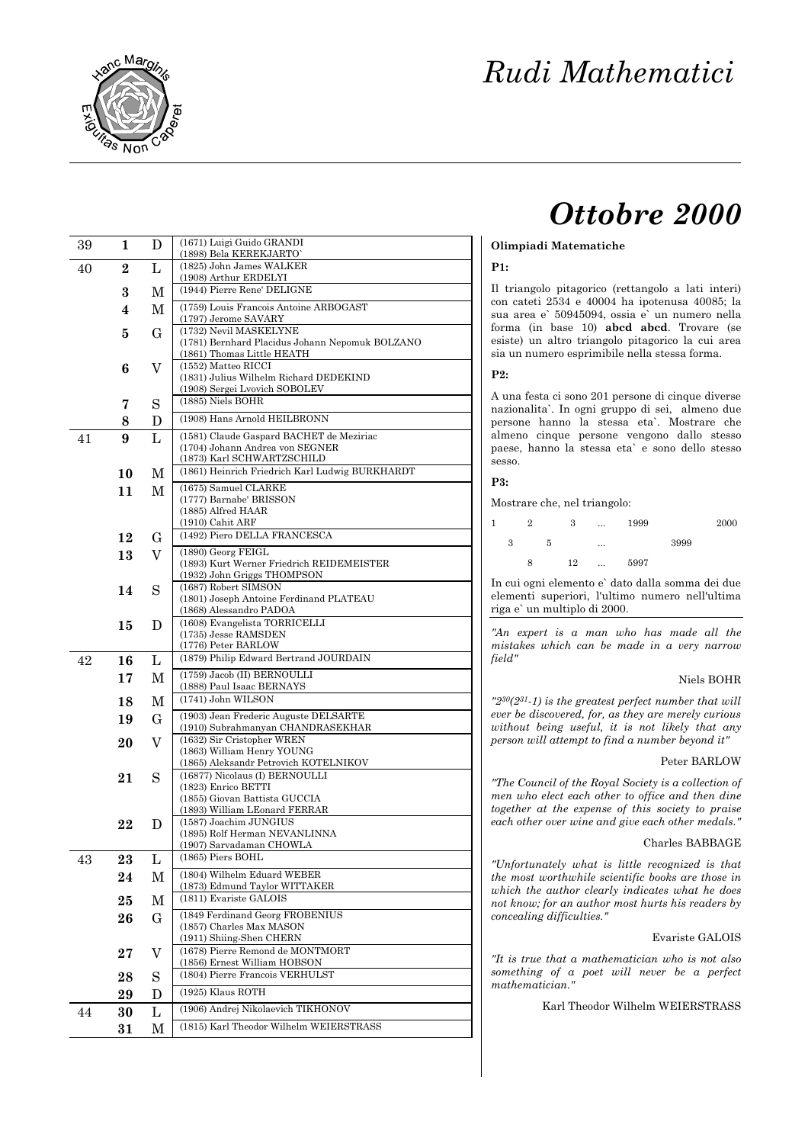

# *Ottobre 2000*

| Olimpiadi Matematiche |
|-----------------------|
|                       |

### **P1:**

Il triangolo pitagorico (rettangolo a lati interi) con cateti 2534 e 40004 ha ipotenusa 40085; la sua area e` 50945094, ossia e` un numero nella forma (in base 10) **abcd abcd**. Trovare (se esiste) un altro triangolo pitagorico la cui area sia un numero esprimibile nella stessa forma.

**P2:**

A una festa ci sono 201 persone di cinque diverse nazionalita`. In ogni gruppo di sei,almeno due persone hanno la stessa eta`. Mostrare che almeno cinque persone vengono dallo stesso paese, hanno la stessa eta` e sono dello stesso sesso.

**P3:**

Mostrare che, nel triangolo:

|   | 2 |   | 3  |          | 1999 |      | 2000 |
|---|---|---|----|----------|------|------|------|
| 3 |   | 5 |    | $\cdots$ |      | 3999 |      |
|   | 8 |   | 12 | $\cdots$ | 5997 |      |      |

In cui ogni elemento e` dato dalla somma dei due elementi superiori, l'ultimo numero nell'ultima riga e` un multiplo di 2000.

*"An expert is a man who has made all the mistakes which can be made in a very narrow field"*

### Niels BOHR

*"230(231-1) is the greatest perfect number that will ever be discovered, for, as they are merely curious without being useful, it is not likely that any person will attempt to find a number beyond it"*

#### Peter BARLOW

*"The Council of the Royal Society is a collection of men who elect each other to office and then dine together at the expense of this society to praise each other over wine and give each other medals."*

# Charles BABBAGE

*"Unfortunately what is little recognized is that the most worthwhile scientific books are those in which the author clearly indicates what he does not know; for an author most hurts his readers by concealing difficulties."*

#### Evariste GALOIS

*"It is true that a mathematician who is not also something of a poet will never be a perfect mathematician."*

Karl Theodor Wilhelm WEIERSTRASS

| 39 | 1        | D              | (1671) Luigi Guido GRANDI                                                     |
|----|----------|----------------|-------------------------------------------------------------------------------|
| 40 | $\bf{2}$ | L              | (1898) Bela KEREKJARTO`<br>(1825) John James WALKER                           |
|    |          |                | (1908) Arthur ERDELYI                                                         |
|    | 3        | М              | (1944) Pierre Rene' DELIGNE                                                   |
|    | 4        | М              | (1759) Louis Francois Antoine ARBOGAST<br>(1797) Jerome SAVARY                |
|    | 5        | G              | (1732) Nevil MASKELYNE                                                        |
|    |          |                | (1781) Bernhard Placidus Johann Nepomuk BOLZANO<br>(1861) Thomas Little HEATH |
|    | 6        | V              | (1552) Matteo RICCI                                                           |
|    |          |                | (1831) Julius Wilhelm Richard DEDEKIND<br>(1908) Sergei Lvovich SOBOLEV       |
|    | 7        | S              | (1885) Niels BOHR                                                             |
|    | 8        | D              | (1908) Hans Arnold HEILBRONN                                                  |
| 41 | 9        | L              | (1581) Claude Gaspard BACHET de Meziriac                                      |
|    |          |                | (1704) Johann Andrea von SEGNER<br>(1873) Karl SCHWARTZSCHILD                 |
|    | 10       | М              | (1861) Heinrich Friedrich Karl Ludwig BURKHARDT                               |
|    | 11       | М              | (1675) Samuel CLARKE                                                          |
|    |          |                | (1777) Barnabe' BRISSON<br>(1885) Alfred HAAR                                 |
|    |          |                | $(1910)$ Cahit ARF                                                            |
|    | 12       | G              | (1492) Piero DELLA FRANCESCA                                                  |
|    | 13       | V              | (1890) Georg FEIGL<br>(1893) Kurt Werner Friedrich REIDEMEISTER               |
|    |          |                | (1932) John Griggs THOMPSON                                                   |
|    | 14       | S              | (1687) Robert SIMSON                                                          |
|    |          |                | (1801) Joseph Antoine Ferdinand PLATEAU<br>(1868) Alessandro PADOA            |
|    | 15       | D              | (1608) Evangelista TORRICELLI                                                 |
|    |          |                | (1735) Jesse RAMSDEN<br>(1776) Peter BARLOW                                   |
| 42 | 16       | L              | (1879) Philip Edward Bertrand JOURDAIN                                        |
|    | 17       | М              | (1759) Jacob (II) BERNOULLI                                                   |
|    | 18       | M              | (1888) Paul Isaac BERNAYS<br>(1741) John WILSON                               |
|    | 19       | G              | (1903) Jean Frederic Auguste DELSARTE                                         |
|    |          |                | (1910) Subrahmanyan CHANDRASEKHAR                                             |
|    | 20       | $\overline{V}$ | (1632) Sir Cristopher WREN<br>(1863) William Henry YOUNG                      |
|    |          |                | (1865) Aleksandr Petrovich KOTELNIKOV                                         |
|    | 21       | S              | (16877) Nicolaus (I) BERNOULLI<br>(1823) Enrico BETTI                         |
|    |          |                | (1855) Giovan Battista GUCCIA                                                 |
|    | 22       | D              | (1893) William LEonard FERRAR<br>(1587) Joachim JUNGIUS                       |
|    |          |                | (1895) Rolf Herman NEVANLINNA                                                 |
| 43 | 23       | L              | (1907) Sarvadaman CHOWLA<br>(1865) Piers BOHL                                 |
|    | 24       | М              | (1804) Wilhelm Eduard WEBER                                                   |
|    |          |                | (1873) Edmund Taylor WITTAKER<br>(1811) Evariste GALOIS                       |
|    | 25       | М              | (1849 Ferdinand Georg FROBENIUS                                               |
|    | 26       | $\mathbf G$    | (1857) Charles Max MASON                                                      |
|    |          |                | (1911) Shiing-Shen CHERN                                                      |
|    | 27       | V              | (1678) Pierre Remond de MONTMORT<br>(1856) Ernest William HOBSON              |
|    | 28       | S              | (1804) Pierre Francois VERHULST                                               |
|    | 29       | D              | $(1925)$ Klaus ROTH                                                           |
| 44 | 30       | Г              | (1906) Andrej Nikolaevich TIKHONOV                                            |
|    | $31\,$   | М              | (1815) Karl Theodor Wilhelm WEIERSTRASS                                       |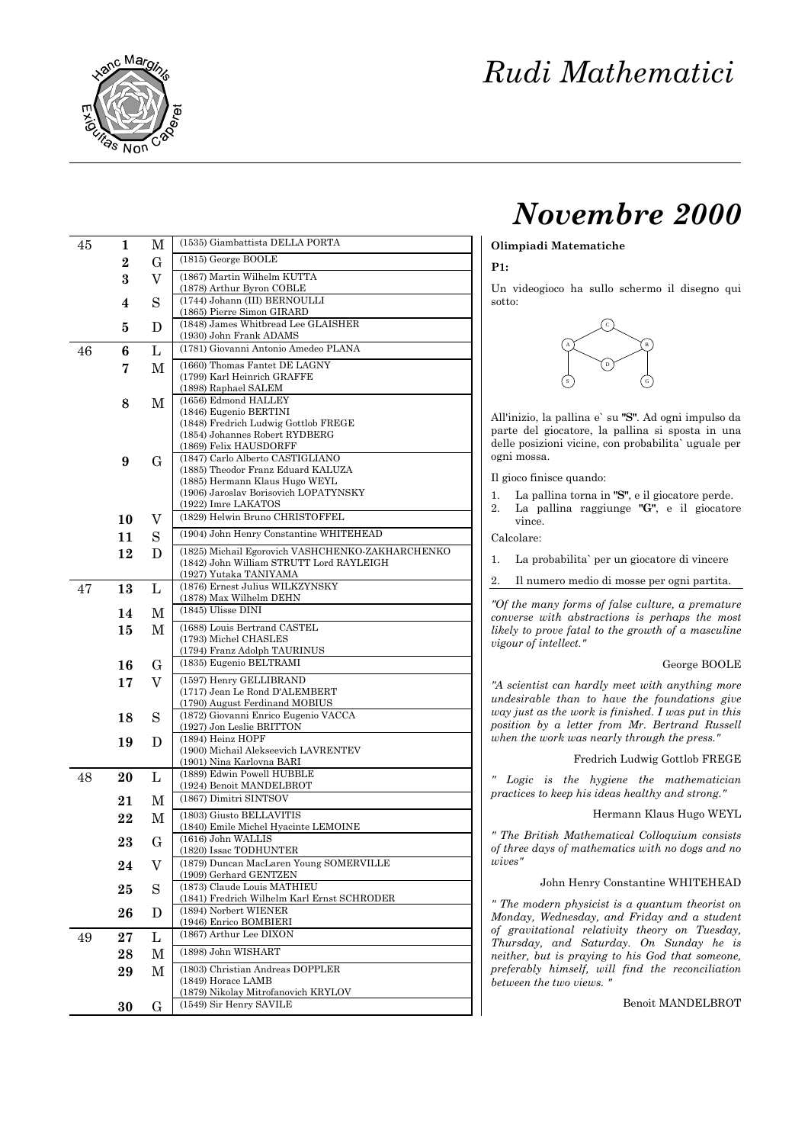

# *Novembre 2000*

# **Olimpiadi Matematiche**

### **P1:**

Un videogioco ha sullo schermo il disegno qui sotto:



All'inizio, la pallina e` su **"S"**. Ad ogni impulso da parte del giocatore, la pallina si sposta in una delle posizioni vicine, con probabilita` uguale per ogni mossa.

Il gioco finisce quando:

- 1. La pallina torna in **"S"**, e il giocatore perde.
- 2. La pallina raggiunge **"G"**, e il giocatore vince.

Calcolare:

- 1. La probabilita` per un giocatore di vincere
- 2. Il numero medio di mosse per ogni partita.

*"Of the many forms of false culture, a premature converse with abstractions is perhaps the most likely to prove fatal to the growth of a masculine vigour of intellect."*

## George BOOLE

*"A scientist can hardly meet with anything more undesirable than to have the foundations give way just as the work is finished. I was put in this position by a letter from Mr. Bertrand Russell when the work was nearly through the press."*

Fredrich Ludwig Gottlob FREGE

*" Logic is the hygiene the mathematician practices to keep his ideas healthy and strong."*

Hermann Klaus Hugo WEYL

*" The British Mathematical Colloquium consists of three days of mathematics with no dogs and no wives"*

John Henry Constantine WHITEHEAD

*" The modern physicist is a quantum theorist on Monday, Wednesday, and Friday and a student of gravitational relativity theory on Tuesday, Thursday, and Saturday. On Sunday he is neither, but is praying to his God that someone, preferably himself, will find the reconciliation between the two views. "*

Benoit MANDELBROT

| 45 | 1        | М           | (1535) Giambattista DELLA PORTA                                   |
|----|----------|-------------|-------------------------------------------------------------------|
|    | $\bf{2}$ | $\mathbf G$ | (1815) George BOOLE                                               |
|    | 3        | V           | (1867) Martin Wilhelm KUTTA                                       |
|    |          |             | (1878) Arthur Byron COBLE                                         |
|    | 4        | S           | (1744) Johann (III) BERNOULLI                                     |
|    |          |             | (1865) Pierre Simon GIRARD<br>(1848) James Whitbread Lee GLAISHER |
|    | 5        | D           | (1930) John Frank ADAMS                                           |
| 46 | 6        | L           | (1781) Giovanni Antonio Amedeo PLANA                              |
|    | 7        | М           | (1660) Thomas Fantet DE LAGNY                                     |
|    |          |             | (1799) Karl Heinrich GRAFFE                                       |
|    | 8        | М           | (1898) Raphael SALEM<br>(1656) Edmond HALLEY                      |
|    |          |             | (1846) Eugenio BERTINI                                            |
|    |          |             | (1848) Fredrich Ludwig Gottlob FREGE                              |
|    |          |             | (1854) Johannes Robert RYDBERG<br>(1869) Felix HAUSDORFF          |
|    | 9        | G           | (1847) Carlo Alberto CASTIGLIANO                                  |
|    |          |             | (1885) Theodor Franz Eduard KALUZA                                |
|    |          |             | (1885) Hermann Klaus Hugo WEYL                                    |
|    |          |             | (1906) Jaroslav Borisovich LOPATYNSKY<br>(1922) Imre LAKATOS      |
|    | 10       | V           | (1829) Helwin Bruno CHRISTOFFEL                                   |
|    | 11       | S           | (1904) John Henry Constantine WHITEHEAD                           |
|    | 12       | D           | (1825) Michail Egorovich VASHCHENKO-ZAKHARCHENKO                  |
|    |          |             | (1842) John William STRUTT Lord RAYLEIGH                          |
|    |          |             | (1927) Yutaka TANIYAMA                                            |
| 47 | 13       | L           | (1876) Ernest Julius WILKZYNSKY<br>(1878) Max Wilhelm DEHN        |
|    | 14       | М           | (1845) Ulisse DINI                                                |
|    | 15       | М           | (1688) Louis Bertrand CASTEL                                      |
|    |          |             | (1793) Michel CHASLES                                             |
|    |          |             | (1794) Franz Adolph TAURINUS                                      |
|    | 16       | $\mathbf G$ | (1835) Eugenio BELTRAMI                                           |
|    | 17       | V           | (1597) Henry GELLIBRAND<br>(1717) Jean Le Rond D'ALEMBERT         |
|    |          |             | (1790) August Ferdinand MOBIUS                                    |
|    | 18       | S           | (1872) Giovanni Enrico Eugenio VACCA                              |
|    |          |             | (1927) Jon Leslie BRITTON                                         |
|    | 19       | D           | (1894) Heinz HOPF<br>(1900) Michail Alekseevich LAVRENTEV         |
|    |          |             | (1901) Nina Karlovna BARI                                         |
| 48 | 20       | L           | (1889) Edwin Powell HUBBLE                                        |
|    |          |             | (1924) Benoit MANDELBROT<br>(1867) Dimitri SINTSOV                |
|    | 21       | М           |                                                                   |
|    | 22       | М           | (1803) Giusto BELLAVITIS<br>(1840) Emile Michel Hyacinte LEMOINE  |
|    | 23       | G           | (1616) John WALLIS                                                |
|    |          |             | (1820) Issac TODHUNTER                                            |
|    | 24       | V           | (1879) Duncan MacLaren Young SOMERVILLE<br>(1909) Gerhard GENTZEN |
|    | 25       | S           | (1873) Claude Louis MATHIEU                                       |
|    |          |             | (1841) Fredrich Wilhelm Karl Ernst SCHRODER                       |
|    | 26       | D           | (1894) Norbert WIENER<br>(1946) Enrico BOMBIERI                   |
| 49 | 27       | L           | (1867) Arthur Lee DIXON                                           |
|    | 28       | M           | (1898) John WISHART                                               |
|    |          |             | (1803) Christian Andreas DOPPLER                                  |
|    | 29       | М           | (1849) Horace LAMB                                                |
|    |          |             | (1879) Nikolay Mitrofanovich KRYLOV                               |
|    | 30       | G           | (1549) Sir Henry SAVILE                                           |